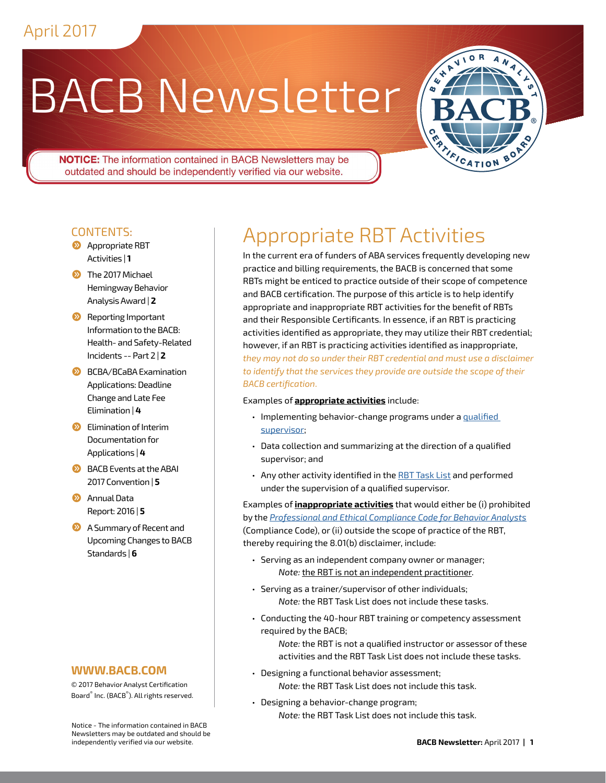# BACB Newsletter



**NOTICE:** The information contained in BACB Newsletters may be outdated and should be independently verified via our website.

#### CONTENTS:

- **2** Appropriate RBT [Activities |](#page-0-0) **1**
- $\sum$  The 2017 Michael [Hemingway Behavior](#page-1-0)  [Analysis Award |](#page-1-0) **2**
- **2** Reporting Important [Information to the BACB:](#page-1-1)  [Health- and Safety-Related](#page-1-1)  [Incidents -- Part 2 |](#page-1-1) **2**
- **[BCBA/BCaBA Examination](#page-3-0)** [Applications: Deadline](#page-3-0)  [Change and Late Fee](#page-3-0)  [Elimination |](#page-3-0) **4**
- $\sum$  Elimination of Interim [Documentation for](#page-3-1)  [Applications |](#page-3-1) **4**
- $\bigcirc$  BACB Events at the ABAI [2017 Convention |](#page-4-0) **5**
- **2** Annual Data [Report: 2016 |](#page-4-1) **5**
- **2** A Summary of Recent and [Upcoming Changes to BACB](#page-5-0)  [Standards |](#page-5-0) **6**

#### **WWW.BACB.COM**

© 2017 Behavior Analyst Certification Board® Inc. (BACB® ). All rights reserved.

Notice - The information contained in BACB Newsletters may be outdated and should be independently verified via our website.

## <span id="page-0-0"></span>Appropriate RBT Activities

In the current era of funders of ABA services frequently developing new practice and billing requirements, the BACB is concerned that some RBTs might be enticed to practice outside of their scope of competence and BACB certification. The purpose of this article is to help identify appropriate and inappropriate RBT activities for the benefit of RBTs and their Responsible Certificants. In essence, if an RBT is practicing activities identified as appropriate, they may utilize their RBT credential; however, if an RBT is practicing activities identified as inappropriate, *they may not do so under their RBT credential and must use a disclaimer to identify that the services they provide are outside the scope of their BACB certification*.

#### Examples of **appropriate activities** include:

- Implementing behavior-change programs under a [qualified](https://bacb.com/supervision-requirements/) [supervisor](https://bacb.com/supervision-requirements/);
- Data collection and summarizing at the direction of a qualified supervisor; and
- Any other activity identified in the [RBT Task List](https://bacb.com/rbt-task-list/) and performed under the supervision of a qualified supervisor.

Examples of **inappropriate activities** that would either be (i) prohibited by the *[Professional and Ethical Compliance Code for Behavior Analysts](https://bacb.com/ethics-code/)* (Compliance Code), or (ii) outside the scope of practice of the RBT, thereby requiring the 8.01(b) disclaimer, include:

- Serving as an independent company owner or manager; *Note:* the RBT is not an independent practitioner.
- Serving as a trainer/supervisor of other individuals; *Note:* the RBT Task List does not include these tasks.
- Conducting the 40-hour RBT training or competency assessment required by the BACB;

*Note:* the RBT is not a qualified instructor or assessor of these activities and the RBT Task List does not include these tasks.

- Designing a functional behavior assessment; *Note:* the RBT Task List does not include this task.
- Designing a behavior-change program; *Note:* the RBT Task List does not include this task.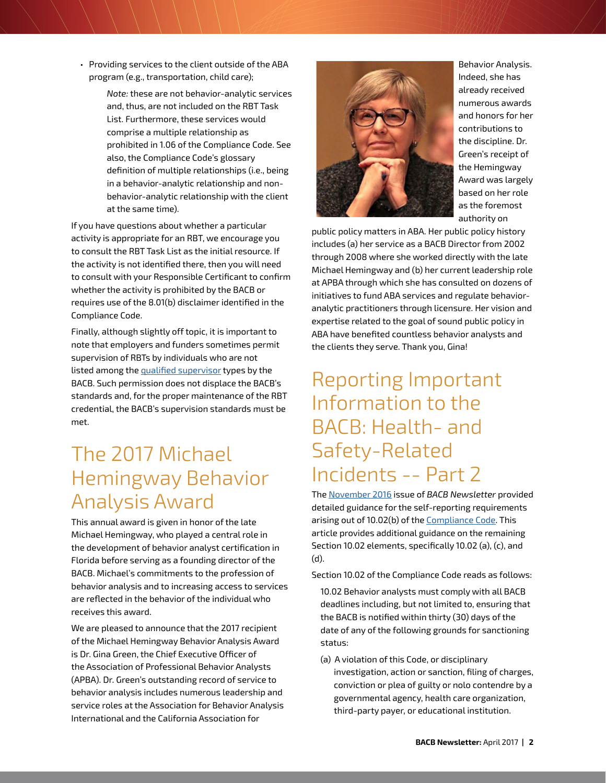• Providing services to the client outside of the ABA program (e.g., transportation, child care);

> *Note:* these are not behavior-analytic services and, thus, are not included on the RBT Task List. Furthermore, these services would comprise a multiple relationship as prohibited in 1.06 of the Compliance Code. See also, the Compliance Code's glossary definition of multiple relationships (i.e., being in a behavior-analytic relationship and nonbehavior-analytic relationship with the client at the same time).

If you have questions about whether a particular activity is appropriate for an RBT, we encourage you to consult the RBT Task List as the initial resource. If the activity is not identified there, then you will need to consult with your Responsible Certificant to confirm whether the activity is prohibited by the BACB or requires use of the 8.01(b) disclaimer identified in the Compliance Code.

Finally, although slightly off topic, it is important to note that employers and funders sometimes permit supervision of RBTs by individuals who are not listed among the [qualified supervisor](https://bacb.com/supervision-requirements/) types by the BACB. Such permission does not displace the BACB's standards and, for the proper maintenance of the RBT credential, the BACB's supervision standards must be met.

#### <span id="page-1-0"></span>The 2017 Michael Hemingway Behavior Analysis Award

This annual award is given in honor of the late Michael Hemingway, who played a central role in the development of behavior analyst certification in Florida before serving as a founding director of the BACB. Michael's commitments to the profession of behavior analysis and to increasing access to services are reflected in the behavior of the individual who receives this award.

We are pleased to announce that the 2017 recipient of the Michael Hemingway Behavior Analysis Award is Dr. Gina Green, the Chief Executive Officer of the Association of Professional Behavior Analysts (APBA). Dr. Green's outstanding record of service to behavior analysis includes numerous leadership and service roles at the Association for Behavior Analysis International and the California Association for



Behavior Analysis. Indeed, she has already received numerous awards and honors for her contributions to the discipline. Dr. Green's receipt of the Hemingway Award was largely based on her role as the foremost authority on

public policy matters in ABA. Her public policy history includes (a) her service as a BACB Director from 2002 through 2008 where she worked directly with the late Michael Hemingway and (b) her current leadership role at APBA through which she has consulted on dozens of initiatives to fund ABA services and regulate behavioranalytic practitioners through licensure. Her vision and expertise related to the goal of sound public policy in ABA have benefited countless behavior analysts and the clients they serve. Thank you, Gina!

#### <span id="page-1-1"></span>Reporting Important Information to the BACB: Health- and Safety-Related Incidents -- Part 2

The [November 2016](https://bacb.com/wp-content/uploads/2016/11/1611-newsletter.pdf) issue of *BACB Newsletter* provided detailed guidance for the self-reporting requirements arising out of 10.02(b) of the **Compliance Code**. This article provides additional guidance on the remaining Section 10.02 elements, specifically 10.02 (a), (c), and (d).

Section 10.02 of the Compliance Code reads as follows:

- 10.02 Behavior analysts must comply with all BACB deadlines including, but not limited to, ensuring that the BACB is notified within thirty (30) days of the date of any of the following grounds for sanctioning status:
- (a) A violation of this Code, or disciplinary investigation, action or sanction, filing of charges, conviction or plea of guilty or nolo contendre by a governmental agency, health care organization, third-party payer, or educational institution.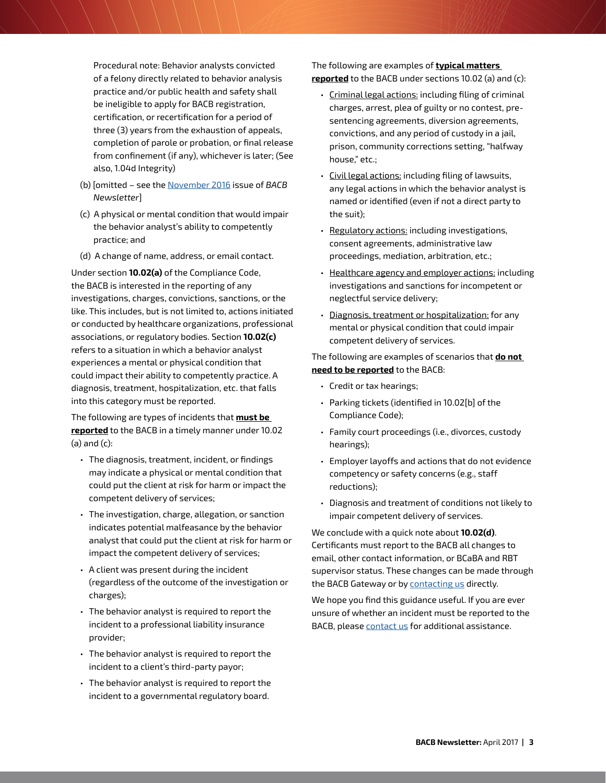Procedural note: Behavior analysts convicted of a felony directly related to behavior analysis practice and/or public health and safety shall be ineligible to apply for BACB registration, certification, or recertification for a period of three (3) years from the exhaustion of appeals, completion of parole or probation, or final release from confinement (if any), whichever is later; (See also, 1.04d Integrity)

- (b) [omitted see the [November 2016](https://bacb.com/wp-content/uploads/2016/11/1611-newsletter.pdf) issue of *BACB Newsletter*]
- (c) A physical or mental condition that would impair the behavior analyst's ability to competently practice; and
- (d) A change of name, address, or email contact.

Under section **10.02(a)** of the Compliance Code, the BACB is interested in the reporting of any investigations, charges, convictions, sanctions, or the like. This includes, but is not limited to, actions initiated or conducted by healthcare organizations, professional associations, or regulatory bodies. Section **10.02(c)** refers to a situation in which a behavior analyst experiences a mental or physical condition that could impact their ability to competently practice. A diagnosis, treatment, hospitalization, etc. that falls into this category must be reported.

The following are types of incidents that **must be reported** to the BACB in a timely manner under 10.02  $(a)$  and  $(c)$ :

- The diagnosis, treatment, incident, or findings may indicate a physical or mental condition that could put the client at risk for harm or impact the competent delivery of services;
- The investigation, charge, allegation, or sanction indicates potential malfeasance by the behavior analyst that could put the client at risk for harm or impact the competent delivery of services;
- A client was present during the incident (regardless of the outcome of the investigation or charges);
- The behavior analyst is required to report the incident to a professional liability insurance provider;
- The behavior analyst is required to report the incident to a client's third-party payor;
- The behavior analyst is required to report the incident to a governmental regulatory board.

The following are examples of **typical matters reported** to the BACB under sections 10.02 (a) and (c):

- Criminal legal actions: including filing of criminal charges, arrest, plea of guilty or no contest, presentencing agreements, diversion agreements, convictions, and any period of custody in a jail, prison, community corrections setting, "halfway house," etc.;
- Civil legal actions: including filing of lawsuits, any legal actions in which the behavior analyst is named or identified (even if not a direct party to the suit);
- Regulatory actions: including investigations, consent agreements, administrative law proceedings, mediation, arbitration, etc.;
- Healthcare agency and employer actions: including investigations and sanctions for incompetent or neglectful service delivery;
- Diagnosis, treatment or hospitalization: for any mental or physical condition that could impair competent delivery of services.

The following are examples of scenarios that **do not need to be reported** to the BACB:

- Credit or tax hearings;
- Parking tickets (identified in 10.02[b] of the Compliance Code);
- Family court proceedings (i.e., divorces, custody hearings);
- Employer layoffs and actions that do not evidence competency or safety concerns (e.g., staff reductions);
- Diagnosis and treatment of conditions not likely to impair competent delivery of services.

We conclude with a quick note about **10.02(d)**. Certificants must report to the BACB all changes to email, other contact information, or BCaBA and RBT supervisor status. These changes can be made through the BACB Gateway or by [contacting us](https://bacb.com/contact-us/) directly.

We hope you find this guidance useful. If you are ever unsure of whether an incident must be reported to the BACB, please [contact us](https://bacb.com/contact-us/) for additional assistance.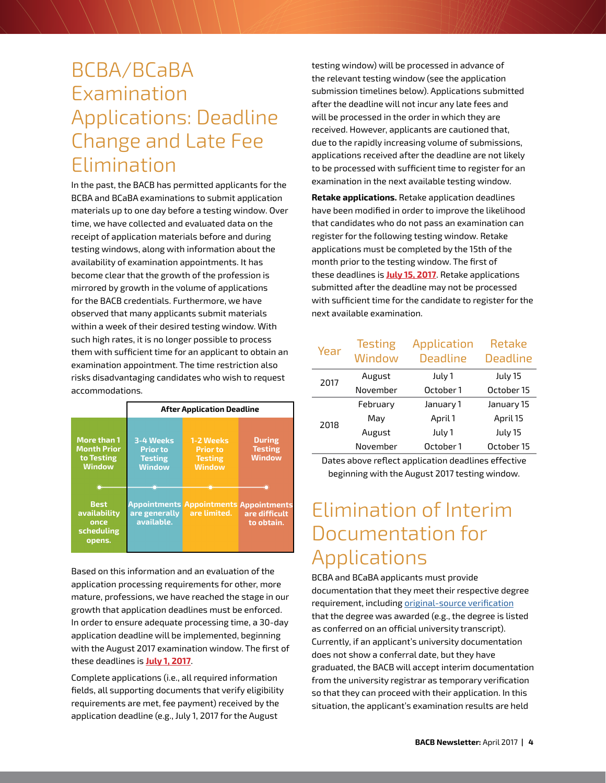#### <span id="page-3-0"></span>BCBA/BCaBA Examination Applications: Deadline Change and Late Fee Elimination

In the past, the BACB has permitted applicants for the BCBA and BCaBA examinations to submit application materials up to one day before a testing window. Over time, we have collected and evaluated data on the receipt of application materials before and during testing windows, along with information about the availability of examination appointments. It has become clear that the growth of the profession is mirrored by growth in the volume of applications for the BACB credentials. Furthermore, we have observed that many applicants submit materials within a week of their desired testing window. With such high rates, it is no longer possible to process them with sufficient time for an applicant to obtain an examination appointment. The time restriction also risks disadvantaging candidates who wish to request accommodations.

|                                                                         | <b>After Application Deadline</b>                               |                                                                 |                                                    |
|-------------------------------------------------------------------------|-----------------------------------------------------------------|-----------------------------------------------------------------|----------------------------------------------------|
| <b>More than 1</b><br><b>Month Prior</b><br>to Testing<br><b>Window</b> | 3-4 Weeks<br><b>Prior to</b><br><b>Testing</b><br><b>Window</b> | 1-2 Weeks<br><b>Prior</b> to<br><b>Testing</b><br><b>Window</b> | <b>During</b><br><b>Testing</b><br><b>Window</b>   |
| <b>Best</b><br>availability<br>once<br>scheduling<br>opens.             | <b>Appointments</b><br>are generally<br>available.              | <b>Appointments</b><br>are limited.                             | <b>Appointments</b><br>are difficult<br>to obtain. |

Based on this information and an evaluation of the application processing requirements for other, more mature, professions, we have reached the stage in our growth that application deadlines must be enforced. In order to ensure adequate processing time, a 30-day application deadline will be implemented, beginning with the August 2017 examination window. The first of these deadlines is **July 1, 2017**.

Complete applications (i.e., all required information fields, all supporting documents that verify eligibility requirements are met, fee payment) received by the application deadline (e.g., July 1, 2017 for the August

testing window) will be processed in advance of the relevant testing window (see the application submission timelines below). Applications submitted after the deadline will not incur any late fees and will be processed in the order in which they are received. However, applicants are cautioned that, due to the rapidly increasing volume of submissions, applications received after the deadline are not likely to be processed with sufficient time to register for an examination in the next available testing window.

**Retake applications.** Retake application deadlines have been modified in order to improve the likelihood that candidates who do not pass an examination can register for the following testing window. Retake applications must be completed by the 15th of the month prior to the testing window. The first of these deadlines is **July 15, 2017**. Retake applications submitted after the deadline may not be processed with sufficient time for the candidate to register for the next available examination.

| Year | <b>Testing</b><br>Window | Application<br><b>Deadline</b> | Retake<br><b>Deadline</b> |
|------|--------------------------|--------------------------------|---------------------------|
| 2017 | August                   | July 1                         | July 15                   |
|      | November                 | October 1                      | October 15                |
| 2018 | February                 | January 1                      | January 15                |
|      | Mav                      | April 1                        | April 15                  |
|      | August                   | July 1                         | July 15                   |
|      | November                 | October 1                      | October 15                |

Dates above reflect application deadlines effective beginning with the August 2017 testing window.

## <span id="page-3-1"></span>Elimination of Interim Documentation for Applications

BCBA and BCaBA applicants must provide documentation that they meet their respective degree requirement, including [original-source verification](https://bacb.com/original-source-verification/) that the degree was awarded (e.g., the degree is listed as conferred on an official university transcript). Currently, if an applicant's university documentation does not show a conferral date, but they have graduated, the BACB will accept interim documentation from the university registrar as temporary verification so that they can proceed with their application. In this situation, the applicant's examination results are held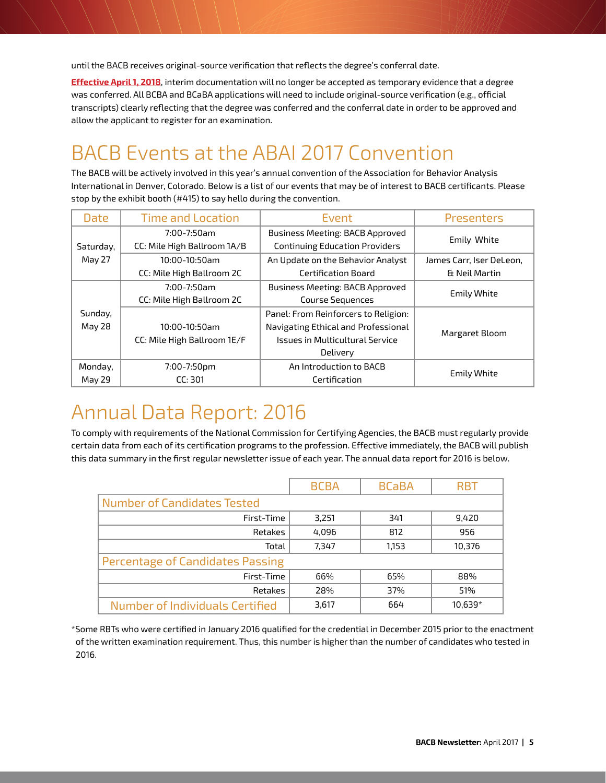until the BACB receives original-source verification that reflects the degree's conferral date.

**Effective April 1, 2018**, interim documentation will no longer be accepted as temporary evidence that a degree was conferred. All BCBA and BCaBA applications will need to include original-source verification (e.g., official transcripts) clearly reflecting that the degree was conferred and the conferral date in order to be approved and allow the applicant to register for an examination.

## <span id="page-4-0"></span>BACB Events at the ABAI 2017 Convention

The BACB will be actively involved in this year's annual convention of the Association for Behavior Analysis International in Denver, Colorado. Below is a list of our events that may be of interest to BACB certificants. Please stop by the exhibit booth (#415) to say hello during the convention.

| Date      | <b>Time and Location</b>    | Event                                  | <b>Presenters</b>        |  |
|-----------|-----------------------------|----------------------------------------|--------------------------|--|
|           | 7:00-7:50am                 | <b>Business Meeting: BACB Approved</b> | Emily White              |  |
| Saturday, | CC: Mile High Ballroom 1A/B | <b>Continuing Education Providers</b>  |                          |  |
| May 27    | $10:00 - 10:50$ am          | An Update on the Behavior Analyst      | James Carr, Iser DeLeon, |  |
|           | CC: Mile High Ballroom 2C   | Certification Board                    | & Neil Martin            |  |
|           | 7:00-7:50am                 | <b>Business Meeting: BACB Approved</b> |                          |  |
|           | CC: Mile High Ballroom 2C   | <b>Course Sequences</b>                | <b>Emily White</b>       |  |
| Sunday,   |                             | Panel: From Reinforcers to Religion:   |                          |  |
| May 28    | $10:00 - 10:50$ am          | Navigating Ethical and Professional    |                          |  |
|           | CC: Mile High Ballroom 1E/F | <b>Issues in Multicultural Service</b> | Margaret Bloom           |  |
|           |                             | Delivery                               |                          |  |
| Monday,   | 7:00-7:50pm                 | An Introduction to BACB                | <b>Emily White</b>       |  |
| May 29    | CC: 301                     | Certification                          |                          |  |

#### <span id="page-4-1"></span>Annual Data Report: 2016

To comply with requirements of the National Commission for Certifying Agencies, the BACB must regularly provide certain data from each of its certification programs to the profession. Effective immediately, the BACB will publish this data summary in the first regular newsletter issue of each year. The annual data report for 2016 is below.

|                                    | <b>BCBA</b> | <b>BCaBA</b> | <b>RBT</b> |
|------------------------------------|-------------|--------------|------------|
| <b>Number of Candidates Tested</b> |             |              |            |
| First-Time                         | 3,251       | 341          | 9,420      |
| Retakes                            | 4,096       | 812          | 956        |
| Total                              | 7,347       | 1,153        | 10,376     |
| Percentage of Candidates Passing   |             |              |            |
| First-Time                         | 66%         | 65%          | 88%        |
| Retakes                            | 28%         | 37%          | 51%        |
| Number of Individuals Certified    | 3,617       | 664          | 10.639*    |

\*Some RBTs who were certified in January 2016 qualified for the credential in December 2015 prior to the enactment of the written examination requirement. Thus, this number is higher than the number of candidates who tested in 2016.